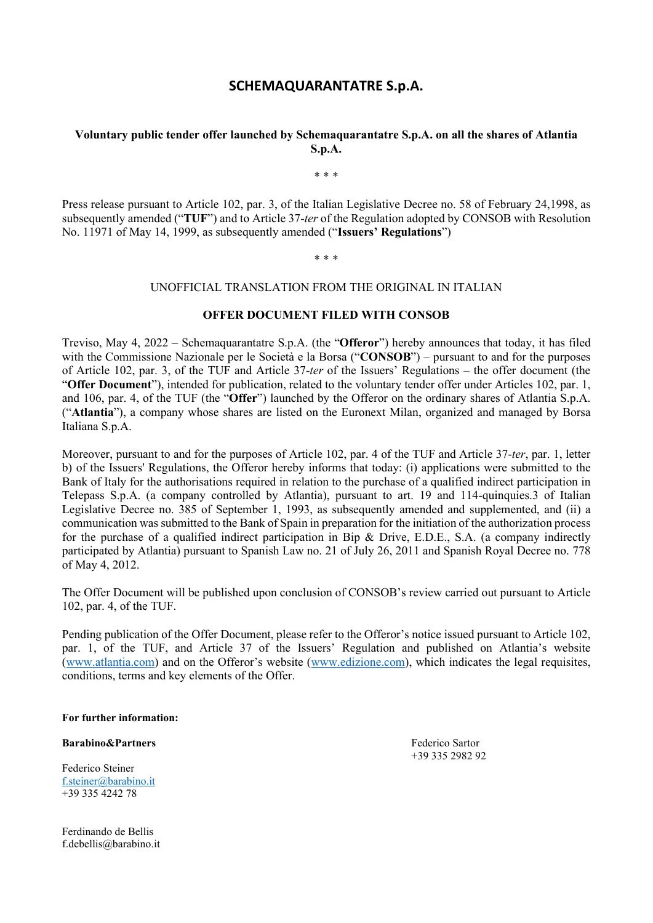# **SCHEMAQUARANTATRE S.p.A.**

### **Voluntary public tender offer launched by Schemaquarantatre S.p.A. on all the shares of Atlantia S.p.A.**

\* \* \*

Press release pursuant to Article 102, par. 3, of the Italian Legislative Decree no. 58 of February 24,1998, as subsequently amended ("**TUF**") and to Article 37-*ter* of the Regulation adopted by CONSOB with Resolution No. 11971 of May 14, 1999, as subsequently amended ("**Issuers' Regulations**")

\* \* \*

#### UNOFFICIAL TRANSLATION FROM THE ORIGINAL IN ITALIAN

#### **OFFER DOCUMENT FILED WITH CONSOB**

Treviso, May 4, 2022 – Schemaquarantatre S.p.A. (the "**Offeror**") hereby announces that today, it has filed with the Commissione Nazionale per le Società e la Borsa ("**CONSOB**") – pursuant to and for the purposes of Article 102, par. 3, of the TUF and Article 37-*ter* of the Issuers' Regulations – the offer document (the "**Offer Document**"), intended for publication, related to the voluntary tender offer under Articles 102, par. 1, and 106, par. 4, of the TUF (the "**Offer**") launched by the Offeror on the ordinary shares of Atlantia S.p.A. ("**Atlantia**"), a company whose shares are listed on the Euronext Milan, organized and managed by Borsa Italiana S.p.A.

Moreover, pursuant to and for the purposes of Article 102, par. 4 of the TUF and Article 37-*ter*, par. 1, letter b) of the Issuers' Regulations, the Offeror hereby informs that today: (i) applications were submitted to the Bank of Italy for the authorisations required in relation to the purchase of a qualified indirect participation in Telepass S.p.A. (a company controlled by Atlantia), pursuant to art. 19 and 114-quinquies.3 of Italian Legislative Decree no. 385 of September 1, 1993, as subsequently amended and supplemented, and (ii) a communication was submitted to the Bank of Spain in preparation for the initiation of the authorization process for the purchase of a qualified indirect participation in Bip & Drive, E.D.E., S.A. (a company indirectly participated by Atlantia) pursuant to Spanish Law no. 21 of July 26, 2011 and Spanish Royal Decree no. 778 of May 4, 2012.

The Offer Document will be published upon conclusion of CONSOB's review carried out pursuant to Article 102, par. 4, of the TUF.

Pending publication of the Offer Document, please refer to the Offeror's notice issued pursuant to Article 102, par. 1, of the TUF, and Article 37 of the Issuers' Regulation and published on Atlantia's website [\(www.atlantia.com\)](http://www.atlantia.com/) and on the Offeror's website [\(www.edizione.com\)](http://www.edizione.com/), which indicates the legal requisites, conditions, terms and key elements of the Offer.

**For further information:** 

**Barabino&Partners Federico Sartor Federico Sartor** 

Federico Steiner [f.steiner@barabino.it](mailto:f.steiner@barabino.it)  +39 335 4242 78

Ferdinando de Bellis f.debellis@barabino.it +39 335 2982 92